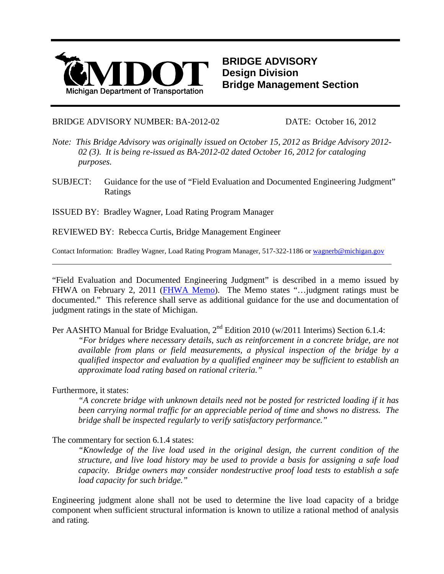

**BRIDGE ADVISORY Design Division Bridge Management Section**

BRIDGE ADVISORY NUMBER: BA-2012-02 DATE: October 16, 2012

- *Note: This Bridge Advisory was originally issued on October 15, 2012 as Bridge Advisory 2012- 02 (3). It is being re-issued as BA-2012-02 dated October 16, 2012 for cataloging purposes.*
- SUBJECT: Guidance for the use of "Field Evaluation and Documented Engineering Judgment" Ratings

ISSUED BY: Bradley Wagner, Load Rating Program Manager

REVIEWED BY: Rebecca Curtis, Bridge Management Engineer

Contact Information: Bradley Wagner, Load Rating Program Manager, 517-322-1186 o[r wagnerb@michigan.gov](mailto:wagnerb@michigan.gov)

"Field Evaluation and Documented Engineering Judgment" is described in a memo issued by FHWA on February 2, 2011 [\(FHWA Memo\)](http://www.fhwa.dot.gov/bridge/110202.cfm). The Memo states "... judgment ratings must be documented." This reference shall serve as additional guidance for the use and documentation of judgment ratings in the state of Michigan.

Per AASHTO Manual for Bridge Evaluation, 2<sup>nd</sup> Edition 2010 (w/2011 Interims) Section 6.1.4:

*"For bridges where necessary details, such as reinforcement in a concrete bridge, are not available from plans or field measurements, a physical inspection of the bridge by a qualified inspector and evaluation by a qualified engineer may be sufficient to establish an approximate load rating based on rational criteria."* 

Furthermore, it states:

*"A concrete bridge with unknown details need not be posted for restricted loading if it has been carrying normal traffic for an appreciable period of time and shows no distress. The bridge shall be inspected regularly to verify satisfactory performance."* 

# The commentary for section 6.1.4 states:

*"Knowledge of the live load used in the original design, the current condition of the structure, and live load history may be used to provide a basis for assigning a safe load capacity. Bridge owners may consider nondestructive proof load tests to establish a safe load capacity for such bridge."*

Engineering judgment alone shall not be used to determine the live load capacity of a bridge component when sufficient structural information is known to utilize a rational method of analysis and rating.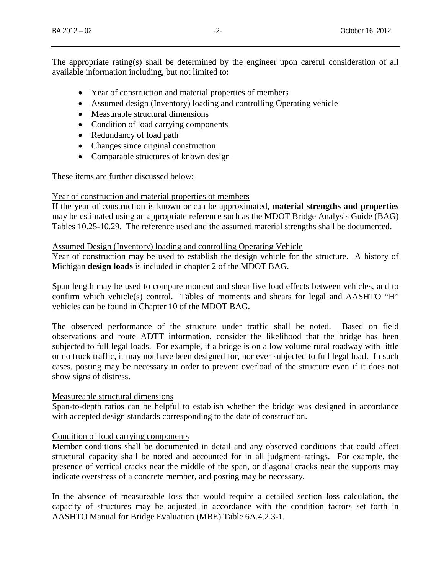The appropriate rating(s) shall be determined by the engineer upon careful consideration of all available information including, but not limited to:

- Year of construction and material properties of members
- Assumed design (Inventory) loading and controlling Operating vehicle
- Measurable structural dimensions
- Condition of load carrying components
- Redundancy of load path
- Changes since original construction
- Comparable structures of known design

These items are further discussed below:

### Year of construction and material properties of members

If the year of construction is known or can be approximated, **material strengths and properties** may be estimated using an appropriate reference such as the MDOT Bridge Analysis Guide (BAG) Tables 10.25-10.29. The reference used and the assumed material strengths shall be documented.

### Assumed Design (Inventory) loading and controlling Operating Vehicle

Year of construction may be used to establish the design vehicle for the structure. A history of Michigan **design loads** is included in chapter 2 of the MDOT BAG.

Span length may be used to compare moment and shear live load effects between vehicles, and to confirm which vehicle(s) control. Tables of moments and shears for legal and AASHTO "H" vehicles can be found in Chapter 10 of the MDOT BAG.

The observed performance of the structure under traffic shall be noted. Based on field observations and route ADTT information, consider the likelihood that the bridge has been subjected to full legal loads. For example, if a bridge is on a low volume rural roadway with little or no truck traffic, it may not have been designed for, nor ever subjected to full legal load. In such cases, posting may be necessary in order to prevent overload of the structure even if it does not show signs of distress.

# Measureable structural dimensions

Span-to-depth ratios can be helpful to establish whether the bridge was designed in accordance with accepted design standards corresponding to the date of construction.

# Condition of load carrying components

Member conditions shall be documented in detail and any observed conditions that could affect structural capacity shall be noted and accounted for in all judgment ratings. For example, the presence of vertical cracks near the middle of the span, or diagonal cracks near the supports may indicate overstress of a concrete member, and posting may be necessary.

In the absence of measureable loss that would require a detailed section loss calculation, the capacity of structures may be adjusted in accordance with the condition factors set forth in AASHTO Manual for Bridge Evaluation (MBE) Table 6A.4.2.3-1.